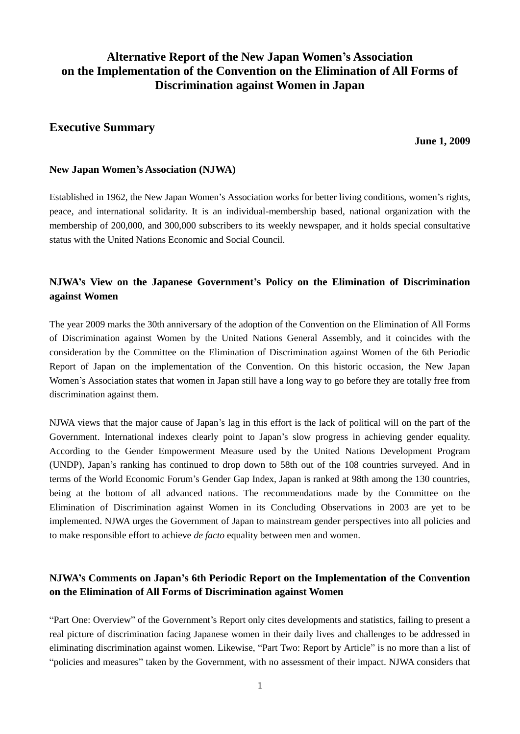# **Alternative Report of the New Japan Women's Association on the Implementation of the Convention on the Elimination of All Forms of Discrimination against Women in Japan**

## **Executive Summary**

**June 1, 2009**

### **New Japan Women's Association (NJWA)**

Established in 1962, the New Japan Women"s Association works for better living conditions, women"s rights, peace, and international solidarity. It is an individual-membership based, national organization with the membership of 200,000, and 300,000 subscribers to its weekly newspaper, and it holds special consultative status with the United Nations Economic and Social Council.

## **NJWA's View on the Japanese Government's Policy on the Elimination of Discrimination against Women**

The year 2009 marks the 30th anniversary of the adoption of the Convention on the Elimination of All Forms of Discrimination against Women by the United Nations General Assembly, and it coincides with the consideration by the Committee on the Elimination of Discrimination against Women of the 6th Periodic Report of Japan on the implementation of the Convention. On this historic occasion, the New Japan Women's Association states that women in Japan still have a long way to go before they are totally free from discrimination against them.

NJWA views that the major cause of Japan"s lag in this effort is the lack of political will on the part of the Government. International indexes clearly point to Japan"s slow progress in achieving gender equality. According to the Gender Empowerment Measure used by the United Nations Development Program (UNDP), Japan"s ranking has continued to drop down to 58th out of the 108 countries surveyed. And in terms of the World Economic Forum"s Gender Gap Index, Japan is ranked at 98th among the 130 countries, being at the bottom of all advanced nations. The recommendations made by the Committee on the Elimination of Discrimination against Women in its Concluding Observations in 2003 are yet to be implemented. NJWA urges the Government of Japan to mainstream gender perspectives into all policies and to make responsible effort to achieve *de facto* equality between men and women.

## **NJWA's Comments on Japan's 6th Periodic Report on the Implementation of the Convention on the Elimination of All Forms of Discrimination against Women**

"Part One: Overview" of the Government"s Report only cites developments and statistics, failing to present a real picture of discrimination facing Japanese women in their daily lives and challenges to be addressed in eliminating discrimination against women. Likewise, "Part Two: Report by Article" is no more than a list of "policies and measures" taken by the Government, with no assessment of their impact. NJWA considers that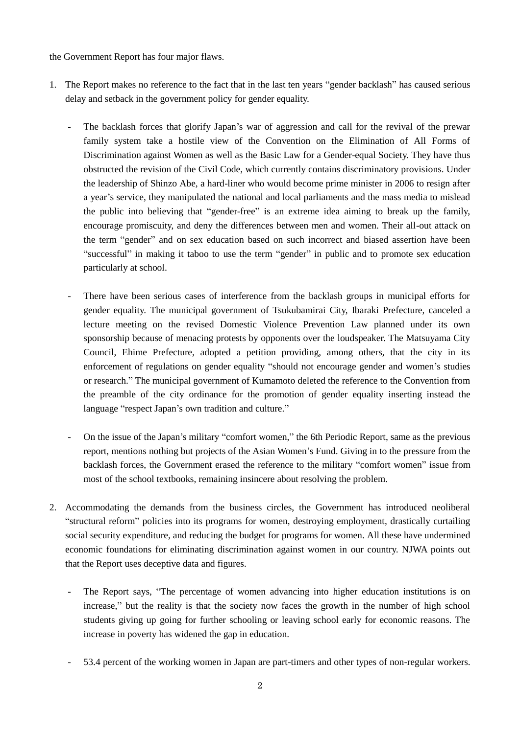the Government Report has four major flaws.

- 1. The Report makes no reference to the fact that in the last ten years "gender backlash" has caused serious delay and setback in the government policy for gender equality.
	- The backlash forces that glorify Japan"s war of aggression and call for the revival of the prewar family system take a hostile view of the Convention on the Elimination of All Forms of Discrimination against Women as well as the Basic Law for a Gender-equal Society. They have thus obstructed the revision of the Civil Code, which currently contains discriminatory provisions. Under the leadership of Shinzo Abe, a hard-liner who would become prime minister in 2006 to resign after a year"s service, they manipulated the national and local parliaments and the mass media to mislead the public into believing that "gender-free" is an extreme idea aiming to break up the family, encourage promiscuity, and deny the differences between men and women. Their all-out attack on the term "gender" and on sex education based on such incorrect and biased assertion have been "successful" in making it taboo to use the term "gender" in public and to promote sex education particularly at school.
	- There have been serious cases of interference from the backlash groups in municipal efforts for gender equality. The municipal government of Tsukubamirai City, Ibaraki Prefecture, canceled a lecture meeting on the revised Domestic Violence Prevention Law planned under its own sponsorship because of menacing protests by opponents over the loudspeaker. The Matsuyama City Council, Ehime Prefecture, adopted a petition providing, among others, that the city in its enforcement of regulations on gender equality "should not encourage gender and women"s studies or research." The municipal government of Kumamoto deleted the reference to the Convention from the preamble of the city ordinance for the promotion of gender equality inserting instead the language "respect Japan's own tradition and culture."
	- On the issue of the Japan"s military "comfort women," the 6th Periodic Report, same as the previous report, mentions nothing but projects of the Asian Women"s Fund. Giving in to the pressure from the backlash forces, the Government erased the reference to the military "comfort women" issue from most of the school textbooks, remaining insincere about resolving the problem.
- 2. Accommodating the demands from the business circles, the Government has introduced neoliberal "structural reform" policies into its programs for women, destroying employment, drastically curtailing social security expenditure, and reducing the budget for programs for women. All these have undermined economic foundations for eliminating discrimination against women in our country. NJWA points out that the Report uses deceptive data and figures.
	- The Report says, "The percentage of women advancing into higher education institutions is on increase," but the reality is that the society now faces the growth in the number of high school students giving up going for further schooling or leaving school early for economic reasons. The increase in poverty has widened the gap in education.
	- 53.4 percent of the working women in Japan are part-timers and other types of non-regular workers.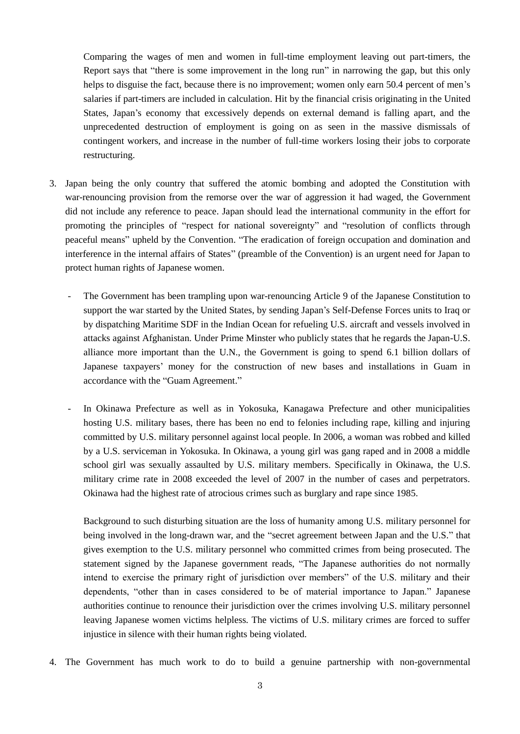Comparing the wages of men and women in full-time employment leaving out part-timers, the Report says that "there is some improvement in the long run" in narrowing the gap, but this only helps to disguise the fact, because there is no improvement; women only earn 50.4 percent of men's salaries if part-timers are included in calculation. Hit by the financial crisis originating in the United States, Japan"s economy that excessively depends on external demand is falling apart, and the unprecedented destruction of employment is going on as seen in the massive dismissals of contingent workers, and increase in the number of full-time workers losing their jobs to corporate restructuring.

- 3. Japan being the only country that suffered the atomic bombing and adopted the Constitution with war-renouncing provision from the remorse over the war of aggression it had waged, the Government did not include any reference to peace. Japan should lead the international community in the effort for promoting the principles of "respect for national sovereignty" and "resolution of conflicts through peaceful means" upheld by the Convention. "The eradication of foreign occupation and domination and interference in the internal affairs of States" (preamble of the Convention) is an urgent need for Japan to protect human rights of Japanese women.
	- The Government has been trampling upon war-renouncing Article 9 of the Japanese Constitution to support the war started by the United States, by sending Japan"s Self-Defense Forces units to Iraq or by dispatching Maritime SDF in the Indian Ocean for refueling U.S. aircraft and vessels involved in attacks against Afghanistan. Under Prime Minster who publicly states that he regards the Japan-U.S. alliance more important than the U.N., the Government is going to spend 6.1 billion dollars of Japanese taxpayers" money for the construction of new bases and installations in Guam in accordance with the "Guam Agreement."
	- In Okinawa Prefecture as well as in Yokosuka, Kanagawa Prefecture and other municipalities hosting U.S. military bases, there has been no end to felonies including rape, killing and injuring committed by U.S. military personnel against local people. In 2006, a woman was robbed and killed by a U.S. serviceman in Yokosuka. In Okinawa, a young girl was gang raped and in 2008 a middle school girl was sexually assaulted by U.S. military members. Specifically in Okinawa, the U.S. military crime rate in 2008 exceeded the level of 2007 in the number of cases and perpetrators. Okinawa had the highest rate of atrocious crimes such as burglary and rape since 1985.

Background to such disturbing situation are the loss of humanity among U.S. military personnel for being involved in the long-drawn war, and the "secret agreement between Japan and the U.S." that gives exemption to the U.S. military personnel who committed crimes from being prosecuted. The statement signed by the Japanese government reads, "The Japanese authorities do not normally intend to exercise the primary right of jurisdiction over members" of the U.S. military and their dependents, "other than in cases considered to be of material importance to Japan." Japanese authorities continue to renounce their jurisdiction over the crimes involving U.S. military personnel leaving Japanese women victims helpless. The victims of U.S. military crimes are forced to suffer injustice in silence with their human rights being violated.

4. The Government has much work to do to build a genuine partnership with non-governmental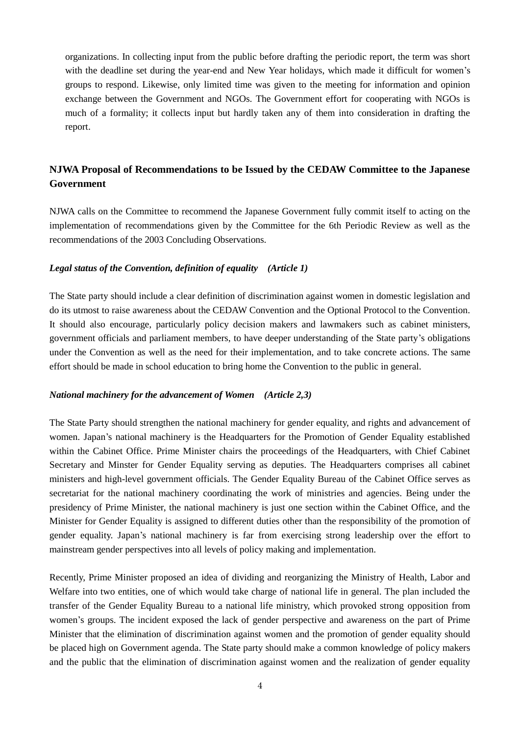organizations. In collecting input from the public before drafting the periodic report, the term was short with the deadline set during the year-end and New Year holidays, which made it difficult for women's groups to respond. Likewise, only limited time was given to the meeting for information and opinion exchange between the Government and NGOs. The Government effort for cooperating with NGOs is much of a formality; it collects input but hardly taken any of them into consideration in drafting the report.

## **NJWA Proposal of Recommendations to be Issued by the CEDAW Committee to the Japanese Government**

NJWA calls on the Committee to recommend the Japanese Government fully commit itself to acting on the implementation of recommendations given by the Committee for the 6th Periodic Review as well as the recommendations of the 2003 Concluding Observations.

### *Legal status of the Convention, definition of equality (Article 1)*

The State party should include a clear definition of discrimination against women in domestic legislation and do its utmost to raise awareness about the CEDAW Convention and the Optional Protocol to the Convention. It should also encourage, particularly policy decision makers and lawmakers such as cabinet ministers, government officials and parliament members, to have deeper understanding of the State party"s obligations under the Convention as well as the need for their implementation, and to take concrete actions. The same effort should be made in school education to bring home the Convention to the public in general.

### *National machinery for the advancement of Women (Article 2,3)*

The State Party should strengthen the national machinery for gender equality, and rights and advancement of women. Japan"s national machinery is the Headquarters for the Promotion of Gender Equality established within the Cabinet Office. Prime Minister chairs the proceedings of the Headquarters, with Chief Cabinet Secretary and Minster for Gender Equality serving as deputies. The Headquarters comprises all cabinet ministers and high-level government officials. The Gender Equality Bureau of the Cabinet Office serves as secretariat for the national machinery coordinating the work of ministries and agencies. Being under the presidency of Prime Minister, the national machinery is just one section within the Cabinet Office, and the Minister for Gender Equality is assigned to different duties other than the responsibility of the promotion of gender equality. Japan"s national machinery is far from exercising strong leadership over the effort to mainstream gender perspectives into all levels of policy making and implementation.

Recently, Prime Minister proposed an idea of dividing and reorganizing the Ministry of Health, Labor and Welfare into two entities, one of which would take charge of national life in general. The plan included the transfer of the Gender Equality Bureau to a national life ministry, which provoked strong opposition from women"s groups. The incident exposed the lack of gender perspective and awareness on the part of Prime Minister that the elimination of discrimination against women and the promotion of gender equality should be placed high on Government agenda. The State party should make a common knowledge of policy makers and the public that the elimination of discrimination against women and the realization of gender equality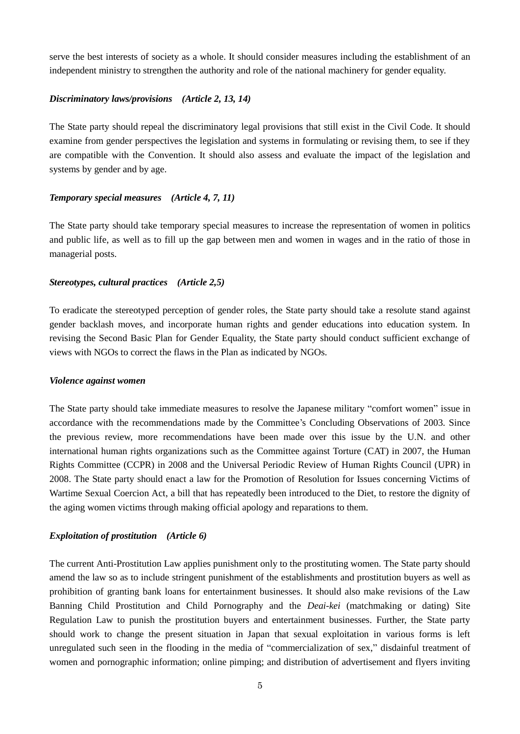serve the best interests of society as a whole. It should consider measures including the establishment of an independent ministry to strengthen the authority and role of the national machinery for gender equality.

#### *Discriminatory laws/provisions (Article 2, 13, 14)*

The State party should repeal the discriminatory legal provisions that still exist in the Civil Code. It should examine from gender perspectives the legislation and systems in formulating or revising them, to see if they are compatible with the Convention. It should also assess and evaluate the impact of the legislation and systems by gender and by age.

#### *Temporary special measures (Article 4, 7, 11)*

The State party should take temporary special measures to increase the representation of women in politics and public life, as well as to fill up the gap between men and women in wages and in the ratio of those in managerial posts.

#### *Stereotypes, cultural practices (Article 2,5)*

To eradicate the stereotyped perception of gender roles, the State party should take a resolute stand against gender backlash moves, and incorporate human rights and gender educations into education system. In revising the Second Basic Plan for Gender Equality, the State party should conduct sufficient exchange of views with NGOs to correct the flaws in the Plan as indicated by NGOs.

#### *Violence against women*

The State party should take immediate measures to resolve the Japanese military "comfort women" issue in accordance with the recommendations made by the Committee"s Concluding Observations of 2003. Since the previous review, more recommendations have been made over this issue by the U.N. and other international human rights organizations such as the Committee against Torture (CAT) in 2007, the Human Rights Committee (CCPR) in 2008 and the Universal Periodic Review of Human Rights Council (UPR) in 2008. The State party should enact a law for the Promotion of Resolution for Issues concerning Victims of Wartime Sexual Coercion Act, a bill that has repeatedly been introduced to the Diet, to restore the dignity of the aging women victims through making official apology and reparations to them.

### *Exploitation of prostitution (Article 6)*

The current Anti-Prostitution Law applies punishment only to the prostituting women. The State party should amend the law so as to include stringent punishment of the establishments and prostitution buyers as well as prohibition of granting bank loans for entertainment businesses. It should also make revisions of the Law Banning Child Prostitution and Child Pornography and the *Deai-kei* (matchmaking or dating) Site Regulation Law to punish the prostitution buyers and entertainment businesses. Further, the State party should work to change the present situation in Japan that sexual exploitation in various forms is left unregulated such seen in the flooding in the media of "commercialization of sex," disdainful treatment of women and pornographic information; online pimping; and distribution of advertisement and flyers inviting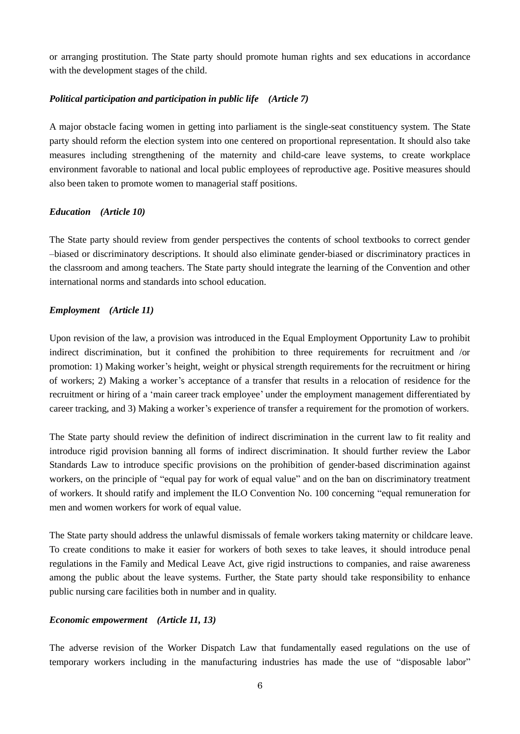or arranging prostitution. The State party should promote human rights and sex educations in accordance with the development stages of the child.

## *Political participation and participation in public life (Article 7)*

A major obstacle facing women in getting into parliament is the single-seat constituency system. The State party should reform the election system into one centered on proportional representation. It should also take measures including strengthening of the maternity and child-care leave systems, to create workplace environment favorable to national and local public employees of reproductive age. Positive measures should also been taken to promote women to managerial staff positions.

## *Education (Article 10)*

The State party should review from gender perspectives the contents of school textbooks to correct gender –biased or discriminatory descriptions. It should also eliminate gender-biased or discriminatory practices in the classroom and among teachers. The State party should integrate the learning of the Convention and other international norms and standards into school education.

## *Employment (Article 11)*

Upon revision of the law, a provision was introduced in the Equal Employment Opportunity Law to prohibit indirect discrimination, but it confined the prohibition to three requirements for recruitment and /or promotion: 1) Making worker"s height, weight or physical strength requirements for the recruitment or hiring of workers; 2) Making a worker"s acceptance of a transfer that results in a relocation of residence for the recruitment or hiring of a "main career track employee" under the employment management differentiated by career tracking, and 3) Making a worker"s experience of transfer a requirement for the promotion of workers.

The State party should review the definition of indirect discrimination in the current law to fit reality and introduce rigid provision banning all forms of indirect discrimination. It should further review the Labor Standards Law to introduce specific provisions on the prohibition of gender-based discrimination against workers, on the principle of "equal pay for work of equal value" and on the ban on discriminatory treatment of workers. It should ratify and implement the ILO Convention No. 100 concerning "equal remuneration for men and women workers for work of equal value.

The State party should address the unlawful dismissals of female workers taking maternity or childcare leave. To create conditions to make it easier for workers of both sexes to take leaves, it should introduce penal regulations in the Family and Medical Leave Act, give rigid instructions to companies, and raise awareness among the public about the leave systems. Further, the State party should take responsibility to enhance public nursing care facilities both in number and in quality.

### *Economic empowerment (Article 11, 13)*

The adverse revision of the Worker Dispatch Law that fundamentally eased regulations on the use of temporary workers including in the manufacturing industries has made the use of "disposable labor"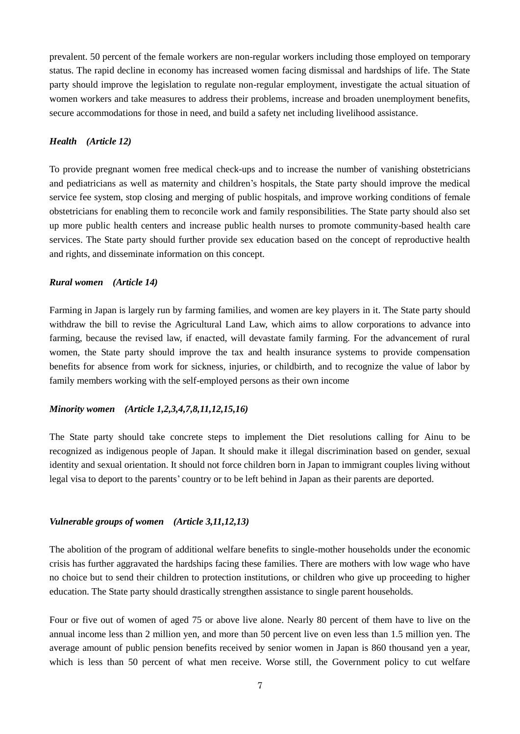prevalent. 50 percent of the female workers are non-regular workers including those employed on temporary status. The rapid decline in economy has increased women facing dismissal and hardships of life. The State party should improve the legislation to regulate non-regular employment, investigate the actual situation of women workers and take measures to address their problems, increase and broaden unemployment benefits, secure accommodations for those in need, and build a safety net including livelihood assistance.

#### *Health (Article 12)*

To provide pregnant women free medical check-ups and to increase the number of vanishing obstetricians and pediatricians as well as maternity and children's hospitals, the State party should improve the medical service fee system, stop closing and merging of public hospitals, and improve working conditions of female obstetricians for enabling them to reconcile work and family responsibilities. The State party should also set up more public health centers and increase public health nurses to promote community-based health care services. The State party should further provide sex education based on the concept of reproductive health and rights, and disseminate information on this concept.

### *Rural women (Article 14)*

Farming in Japan is largely run by farming families, and women are key players in it. The State party should withdraw the bill to revise the Agricultural Land Law, which aims to allow corporations to advance into farming, because the revised law, if enacted, will devastate family farming. For the advancement of rural women, the State party should improve the tax and health insurance systems to provide compensation benefits for absence from work for sickness, injuries, or childbirth, and to recognize the value of labor by family members working with the self-employed persons as their own income

#### *Minority women (Article 1,2,3,4,7,8,11,12,15,16)*

The State party should take concrete steps to implement the Diet resolutions calling for Ainu to be recognized as indigenous people of Japan. It should make it illegal discrimination based on gender, sexual identity and sexual orientation. It should not force children born in Japan to immigrant couples living without legal visa to deport to the parents" country or to be left behind in Japan as their parents are deported.

### *Vulnerable groups of women (Article 3,11,12,13)*

The abolition of the program of additional welfare benefits to single-mother households under the economic crisis has further aggravated the hardships facing these families. There are mothers with low wage who have no choice but to send their children to protection institutions, or children who give up proceeding to higher education. The State party should drastically strengthen assistance to single parent households.

Four or five out of women of aged 75 or above live alone. Nearly 80 percent of them have to live on the annual income less than 2 million yen, and more than 50 percent live on even less than 1.5 million yen. The average amount of public pension benefits received by senior women in Japan is 860 thousand yen a year, which is less than 50 percent of what men receive. Worse still, the Government policy to cut welfare